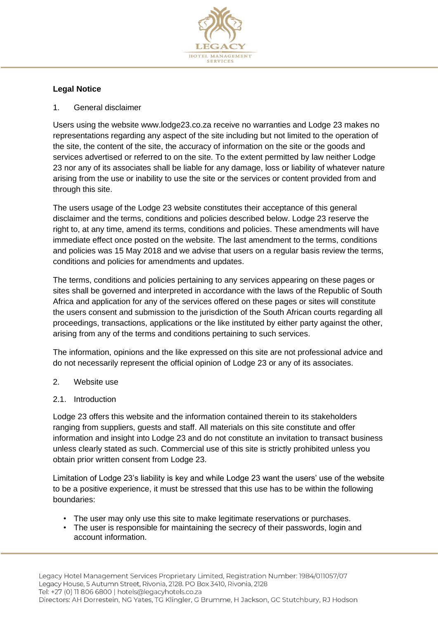

# **Legal Notice**

1. General disclaimer

Users using the website www.lodge23.co.za receive no warranties and Lodge 23 makes no representations regarding any aspect of the site including but not limited to the operation of the site, the content of the site, the accuracy of information on the site or the goods and services advertised or referred to on the site. To the extent permitted by law neither Lodge 23 nor any of its associates shall be liable for any damage, loss or liability of whatever nature arising from the use or inability to use the site or the services or content provided from and through this site.

The users usage of the Lodge 23 website constitutes their acceptance of this general disclaimer and the terms, conditions and policies described below. Lodge 23 reserve the right to, at any time, amend its terms, conditions and policies. These amendments will have immediate effect once posted on the website. The last amendment to the terms, conditions and policies was 15 May 2018 and we advise that users on a regular basis review the terms, conditions and policies for amendments and updates.

The terms, conditions and policies pertaining to any services appearing on these pages or sites shall be governed and interpreted in accordance with the laws of the Republic of South Africa and application for any of the services offered on these pages or sites will constitute the users consent and submission to the jurisdiction of the South African courts regarding all proceedings, transactions, applications or the like instituted by either party against the other, arising from any of the terms and conditions pertaining to such services.

The information, opinions and the like expressed on this site are not professional advice and do not necessarily represent the official opinion of Lodge 23 or any of its associates.

- 2. Website use
- 2.1. Introduction

Lodge 23 offers this website and the information contained therein to its stakeholders ranging from suppliers, guests and staff. All materials on this site constitute and offer information and insight into Lodge 23 and do not constitute an invitation to transact business unless clearly stated as such. Commercial use of this site is strictly prohibited unless you obtain prior written consent from Lodge 23.

Limitation of Lodge 23's liability is key and while Lodge 23 want the users' use of the website to be a positive experience, it must be stressed that this use has to be within the following boundaries:

- The user may only use this site to make legitimate reservations or purchases.
- The user is responsible for maintaining the secrecy of their passwords, login and account information.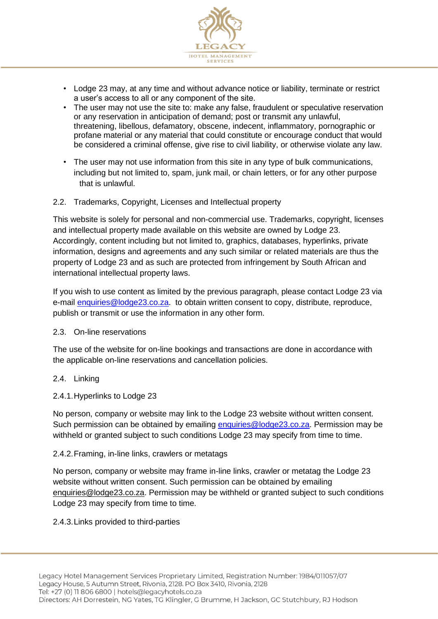

- Lodge 23 may, at any time and without advance notice or liability, terminate or restrict a user's access to all or any component of the site.
- The user may not use the site to: make any false, fraudulent or speculative reservation or any reservation in anticipation of demand; post or transmit any unlawful, threatening, libellous, defamatory, obscene, indecent, inflammatory, pornographic or profane material or any material that could constitute or encourage conduct that would be considered a criminal offense, give rise to civil liability, or otherwise violate any law.
- The user may not use information from this site in any type of bulk communications, including but not limited to, spam, junk mail, or chain letters, or for any other purpose that is unlawful.

### 2.2. Trademarks, Copyright, Licenses and Intellectual property

This website is solely for personal and non-commercial use. Trademarks, copyright, licenses and intellectual property made available on this website are owned by Lodge 23. Accordingly, content including but not limited to, graphics, databases, hyperlinks, private information, designs and agreements and any such similar or related materials are thus the property of Lodge 23 and as such are protected from infringement by South African and international intellectual property laws.

If you wish to use content as limited by the previous paragraph, please contact Lodge 23 via e-mail [enquiries@lodge23.co.za.](mailto:enquiries@lodge23.co.za) to obtain written consent to copy, distribute, reproduce, publish or transmit or use the information in any other form.

### 2.3. On-line reservations

The use of the website for on-line bookings and transactions are done in accordance with the applicable on-line reservations and cancellation policies.

### 2.4. Linking

### 2.4.1.Hyperlinks to Lodge 23

No person, company or website may link to the Lodge 23 website without written consent. Such permission can be obtained by emailing [enquiries@lodge23.co.za.](mailto:enquiries@lodge23.co.za) Permission may be withheld or granted subject to such conditions Lodge 23 may specify from time to time.

### 2.4.2.Framing, in-line links, crawlers or metatags

No person, company or website may frame in-line links, crawler or metatag the Lodge 23 website without written consent. Such permission can be obtained by emailing [enquiries@lodge23.co.za.](mailto:hotels@legacyhotels.co.za) Permission may be withheld or granted subject to such conditions Lodge 23 may specify from time to time.

### 2.4.3.Links provided to third-parties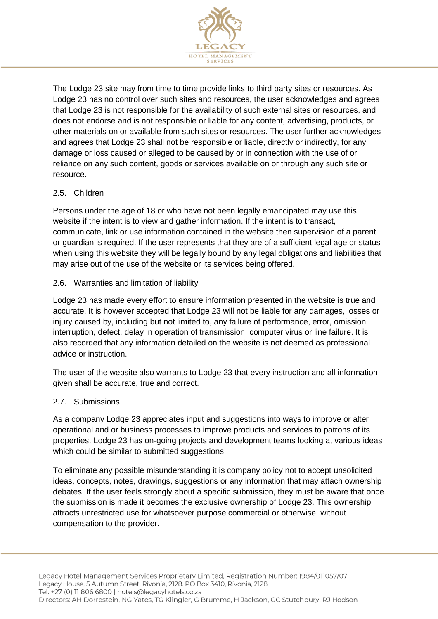

The Lodge 23 site may from time to time provide links to third party sites or resources. As Lodge 23 has no control over such sites and resources, the user acknowledges and agrees that Lodge 23 is not responsible for the availability of such external sites or resources, and does not endorse and is not responsible or liable for any content, advertising, products, or other materials on or available from such sites or resources. The user further acknowledges and agrees that Lodge 23 shall not be responsible or liable, directly or indirectly, for any damage or loss caused or alleged to be caused by or in connection with the use of or reliance on any such content, goods or services available on or through any such site or resource.

## 2.5. Children

Persons under the age of 18 or who have not been legally emancipated may use this website if the intent is to view and gather information. If the intent is to transact, communicate, link or use information contained in the website then supervision of a parent or guardian is required. If the user represents that they are of a sufficient legal age or status when using this website they will be legally bound by any legal obligations and liabilities that may arise out of the use of the website or its services being offered.

## 2.6. Warranties and limitation of liability

Lodge 23 has made every effort to ensure information presented in the website is true and accurate. It is however accepted that Lodge 23 will not be liable for any damages, losses or injury caused by, including but not limited to, any failure of performance, error, omission, interruption, defect, delay in operation of transmission, computer virus or line failure. It is also recorded that any information detailed on the website is not deemed as professional advice or instruction.

The user of the website also warrants to Lodge 23 that every instruction and all information given shall be accurate, true and correct.

## 2.7. Submissions

As a company Lodge 23 appreciates input and suggestions into ways to improve or alter operational and or business processes to improve products and services to patrons of its properties. Lodge 23 has on-going projects and development teams looking at various ideas which could be similar to submitted suggestions.

To eliminate any possible misunderstanding it is company policy not to accept unsolicited ideas, concepts, notes, drawings, suggestions or any information that may attach ownership debates. If the user feels strongly about a specific submission, they must be aware that once the submission is made it becomes the exclusive ownership of Lodge 23. This ownership attracts unrestricted use for whatsoever purpose commercial or otherwise, without compensation to the provider.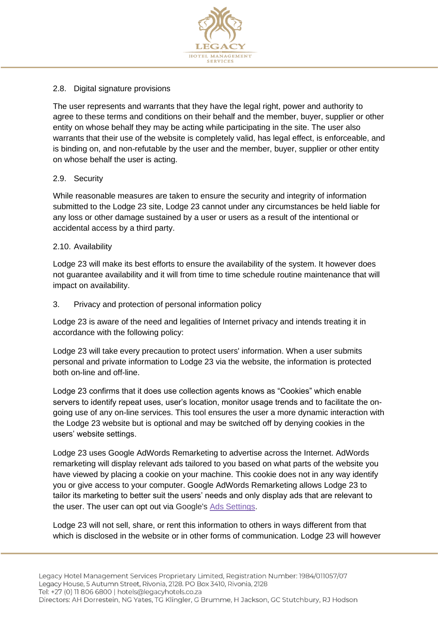

## 2.8. Digital signature provisions

The user represents and warrants that they have the legal right, power and authority to agree to these terms and conditions on their behalf and the member, buyer, supplier or other entity on whose behalf they may be acting while participating in the site. The user also warrants that their use of the website is completely valid, has legal effect, is enforceable, and is binding on, and non-refutable by the user and the member, buyer, supplier or other entity on whose behalf the user is acting.

## 2.9. Security

While reasonable measures are taken to ensure the security and integrity of information submitted to the Lodge 23 site, Lodge 23 cannot under any circumstances be held liable for any loss or other damage sustained by a user or users as a result of the intentional or accidental access by a third party.

## 2.10. Availability

Lodge 23 will make its best efforts to ensure the availability of the system. It however does not guarantee availability and it will from time to time schedule routine maintenance that will impact on availability.

## 3. Privacy and protection of personal information policy

Lodge 23 is aware of the need and legalities of Internet privacy and intends treating it in accordance with the following policy:

Lodge 23 will take every precaution to protect users' information. When a user submits personal and private information to Lodge 23 via the website, the information is protected both on-line and off-line.

Lodge 23 confirms that it does use collection agents knows as "Cookies" which enable servers to identify repeat uses, user's location, monitor usage trends and to facilitate the ongoing use of any on-line services. This tool ensures the user a more dynamic interaction with the Lodge 23 website but is optional and may be switched off by denying cookies in the users' website settings.

Lodge 23 uses Google AdWords Remarketing to advertise across the Internet. AdWords remarketing will display relevant ads tailored to you based on what parts of the website you have viewed by placing a cookie on your machine. This cookie does not in any way identify you or give access to your computer. Google AdWords Remarketing allows Lodge 23 to tailor its marketing to better suit the users' needs and only display ads that are relevant to the user. The user can opt out via Google's [Ads Settings.](http://www.google.com/settings/ads)

Lodge 23 will not sell, share, or rent this information to others in ways different from that which is disclosed in the website or in other forms of communication. Lodge 23 will however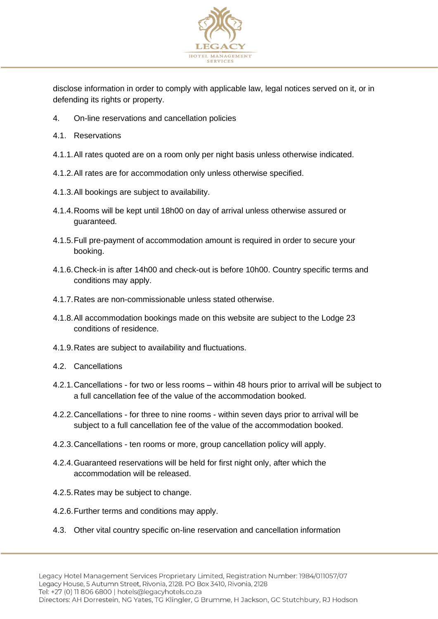

disclose information in order to comply with applicable law, legal notices served on it, or in defending its rights or property.

- 4. On-line reservations and cancellation policies
- 4.1. Reservations
- 4.1.1.All rates quoted are on a room only per night basis unless otherwise indicated.
- 4.1.2.All rates are for accommodation only unless otherwise specified.
- 4.1.3.All bookings are subject to availability.
- 4.1.4.Rooms will be kept until 18h00 on day of arrival unless otherwise assured or guaranteed.
- 4.1.5.Full pre-payment of accommodation amount is required in order to secure your booking.
- 4.1.6.Check-in is after 14h00 and check-out is before 10h00. Country specific terms and conditions may apply.
- 4.1.7.Rates are non-commissionable unless stated otherwise.
- 4.1.8.All accommodation bookings made on this website are subject to the Lodge 23 conditions of residence.
- 4.1.9.Rates are subject to availability and fluctuations.
- 4.2. Cancellations
- 4.2.1.Cancellations for two or less rooms within 48 hours prior to arrival will be subject to a full cancellation fee of the value of the accommodation booked.
- 4.2.2.Cancellations for three to nine rooms within seven days prior to arrival will be subject to a full cancellation fee of the value of the accommodation booked.
- 4.2.3.Cancellations ten rooms or more, group cancellation policy will apply.
- 4.2.4.Guaranteed reservations will be held for first night only, after which the accommodation will be released.
- 4.2.5.Rates may be subject to change.
- 4.2.6.Further terms and conditions may apply.
- 4.3. Other vital country specific on-line reservation and cancellation information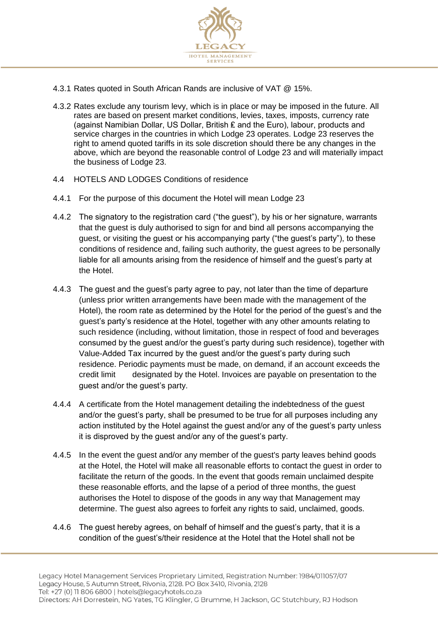

- 4.3.1 Rates quoted in South African Rands are inclusive of VAT @ 15%.
- 4.3.2 Rates exclude any tourism levy, which is in place or may be imposed in the future. All rates are based on present market conditions, levies, taxes, imposts, currency rate (against Namibian Dollar, US Dollar, British ₤ and the Euro), labour, products and service charges in the countries in which Lodge 23 operates. Lodge 23 reserves the right to amend quoted tariffs in its sole discretion should there be any changes in the above, which are beyond the reasonable control of Lodge 23 and will materially impact the business of Lodge 23.
- 4.4 HOTELS AND LODGES Conditions of residence
- 4.4.1 For the purpose of this document the Hotel will mean Lodge 23
- 4.4.2 The signatory to the registration card ("the guest"), by his or her signature, warrants that the guest is duly authorised to sign for and bind all persons accompanying the guest, or visiting the guest or his accompanying party ("the guest's party"), to these conditions of residence and, failing such authority, the guest agrees to be personally liable for all amounts arising from the residence of himself and the guest's party at the Hotel.
- 4.4.3 The guest and the guest's party agree to pay, not later than the time of departure (unless prior written arrangements have been made with the management of the Hotel), the room rate as determined by the Hotel for the period of the guest's and the guest's party's residence at the Hotel, together with any other amounts relating to such residence (including, without limitation, those in respect of food and beverages consumed by the guest and/or the guest's party during such residence), together with Value-Added Tax incurred by the guest and/or the guest's party during such residence. Periodic payments must be made, on demand, if an account exceeds the credit limit designated by the Hotel. Invoices are payable on presentation to the guest and/or the guest's party.
- 4.4.4 A certificate from the Hotel management detailing the indebtedness of the guest and/or the guest's party, shall be presumed to be true for all purposes including any action instituted by the Hotel against the guest and/or any of the guest's party unless it is disproved by the guest and/or any of the guest's party.
- 4.4.5 In the event the guest and/or any member of the guest's party leaves behind goods at the Hotel, the Hotel will make all reasonable efforts to contact the guest in order to facilitate the return of the goods. In the event that goods remain unclaimed despite these reasonable efforts, and the lapse of a period of three months, the guest authorises the Hotel to dispose of the goods in any way that Management may determine. The guest also agrees to forfeit any rights to said, unclaimed, goods.
- 4.4.6 The guest hereby agrees, on behalf of himself and the guest's party, that it is a condition of the guest's/their residence at the Hotel that the Hotel shall not be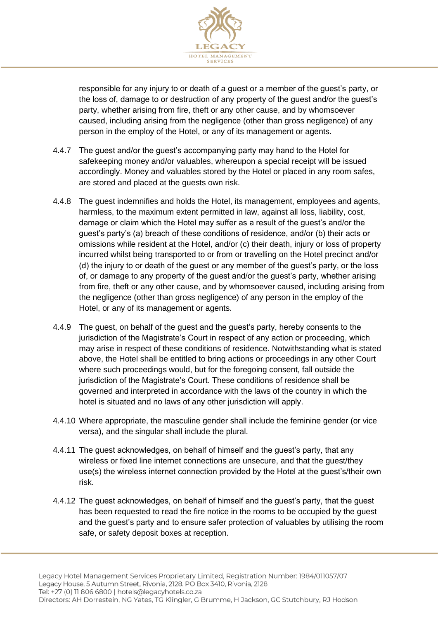

responsible for any injury to or death of a guest or a member of the guest's party, or the loss of, damage to or destruction of any property of the guest and/or the guest's party, whether arising from fire, theft or any other cause, and by whomsoever caused, including arising from the negligence (other than gross negligence) of any person in the employ of the Hotel, or any of its management or agents.

- 4.4.7 The guest and/or the guest's accompanying party may hand to the Hotel for safekeeping money and/or valuables, whereupon a special receipt will be issued accordingly. Money and valuables stored by the Hotel or placed in any room safes, are stored and placed at the guests own risk.
- 4.4.8 The guest indemnifies and holds the Hotel, its management, employees and agents, harmless, to the maximum extent permitted in law, against all loss, liability, cost, damage or claim which the Hotel may suffer as a result of the guest's and/or the guest's party's (a) breach of these conditions of residence, and/or (b) their acts or omissions while resident at the Hotel, and/or (c) their death, injury or loss of property incurred whilst being transported to or from or travelling on the Hotel precinct and/or (d) the injury to or death of the guest or any member of the guest's party, or the loss of, or damage to any property of the guest and/or the guest's party, whether arising from fire, theft or any other cause, and by whomsoever caused, including arising from the negligence (other than gross negligence) of any person in the employ of the Hotel, or any of its management or agents.
- 4.4.9 The guest, on behalf of the guest and the guest's party, hereby consents to the jurisdiction of the Magistrate's Court in respect of any action or proceeding, which may arise in respect of these conditions of residence. Notwithstanding what is stated above, the Hotel shall be entitled to bring actions or proceedings in any other Court where such proceedings would, but for the foregoing consent, fall outside the jurisdiction of the Magistrate's Court. These conditions of residence shall be governed and interpreted in accordance with the laws of the country in which the hotel is situated and no laws of any other jurisdiction will apply.
- 4.4.10 Where appropriate, the masculine gender shall include the feminine gender (or vice versa), and the singular shall include the plural.
- 4.4.11 The guest acknowledges, on behalf of himself and the guest's party, that any wireless or fixed line internet connections are unsecure, and that the guest/they use(s) the wireless internet connection provided by the Hotel at the guest's/their own risk.
- 4.4.12 The guest acknowledges, on behalf of himself and the guest's party, that the guest has been requested to read the fire notice in the rooms to be occupied by the guest and the guest's party and to ensure safer protection of valuables by utilising the room safe, or safety deposit boxes at reception.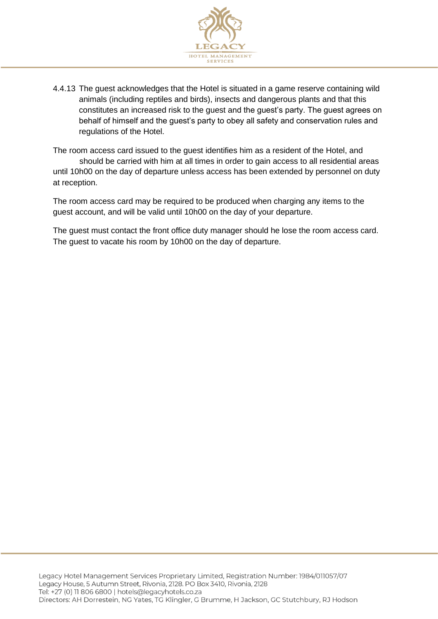

4.4.13 The guest acknowledges that the Hotel is situated in a game reserve containing wild animals (including reptiles and birds), insects and dangerous plants and that this constitutes an increased risk to the guest and the guest's party. The guest agrees on behalf of himself and the guest's party to obey all safety and conservation rules and regulations of the Hotel.

The room access card issued to the guest identifies him as a resident of the Hotel, and should be carried with him at all times in order to gain access to all residential areas until 10h00 on the day of departure unless access has been extended by personnel on duty at reception.

The room access card may be required to be produced when charging any items to the guest account, and will be valid until 10h00 on the day of your departure.

The guest must contact the front office duty manager should he lose the room access card. The guest to vacate his room by 10h00 on the day of departure.